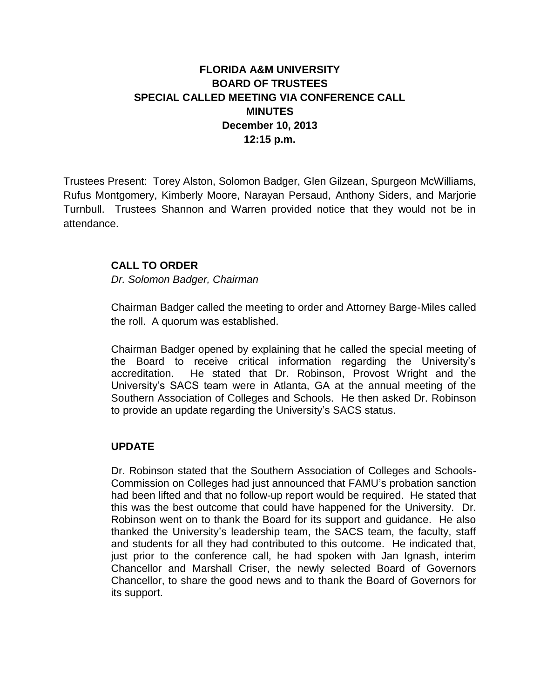## **FLORIDA A&M UNIVERSITY BOARD OF TRUSTEES SPECIAL CALLED MEETING VIA CONFERENCE CALL MINUTES December 10, 2013 12:15 p.m.**

Trustees Present: Torey Alston, Solomon Badger, Glen Gilzean, Spurgeon McWilliams, Rufus Montgomery, Kimberly Moore, Narayan Persaud, Anthony Siders, and Marjorie Turnbull. Trustees Shannon and Warren provided notice that they would not be in attendance.

## **CALL TO ORDER**

*Dr. Solomon Badger, Chairman*

Chairman Badger called the meeting to order and Attorney Barge-Miles called the roll. A quorum was established.

Chairman Badger opened by explaining that he called the special meeting of the Board to receive critical information regarding the University's accreditation. He stated that Dr. Robinson, Provost Wright and the University's SACS team were in Atlanta, GA at the annual meeting of the Southern Association of Colleges and Schools. He then asked Dr. Robinson to provide an update regarding the University's SACS status.

## **UPDATE**

Dr. Robinson stated that the Southern Association of Colleges and Schools-Commission on Colleges had just announced that FAMU's probation sanction had been lifted and that no follow-up report would be required. He stated that this was the best outcome that could have happened for the University. Dr. Robinson went on to thank the Board for its support and guidance. He also thanked the University's leadership team, the SACS team, the faculty, staff and students for all they had contributed to this outcome. He indicated that, just prior to the conference call, he had spoken with Jan Ignash, interim Chancellor and Marshall Criser, the newly selected Board of Governors Chancellor, to share the good news and to thank the Board of Governors for its support.